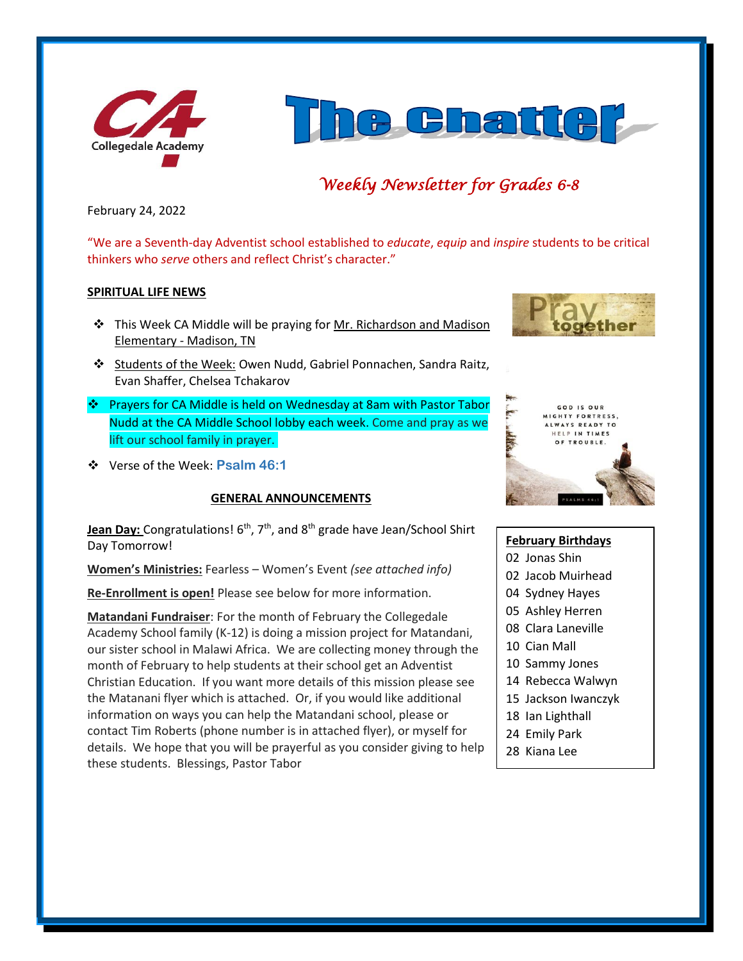



## *Weekly Newsletter for Grades 6-8*

February 24, 2022

"We are a Seventh-day Adventist school established to *educate*, *equip* and *inspire* students to be critical thinkers who *serve* others and reflect Christ's character."

#### **SPIRITUAL LIFE NEWS**

- ❖ This Week CA Middle will be praying for Mr. Richardson and Madison Elementary - Madison, TN
- ❖ Students of the Week: Owen Nudd, Gabriel Ponnachen, Sandra Raitz, Evan Shaffer, Chelsea Tchakarov
- ❖ Prayers for CA Middle is held on Wednesday at 8am with Pastor Tabor Nudd at the CA Middle School lobby each week. Come and pray as we lift our school family in prayer.
- ❖ Verse of the Week: **Psalm 46:1**

## **GENERAL ANNOUNCEMENTS**

**Jean Day:** Congratulations! 6<sup>th</sup>, 7<sup>th</sup>, and 8<sup>th</sup> grade have Jean/School Shirt Day Tomorrow!

**Women's Ministries:** Fearless – Women's Event *(see attached info)*

**Re-Enrollment is open!** Please see below for more information.

**Matandani Fundraiser**: For the month of February the Collegedale Academy School family (K-12) is doing a mission project for Matandani, our sister school in Malawi Africa. We are collecting money through the month of February to help students at their school get an Adventist Christian Education. If you want more details of this mission please see the Matanani flyer which is attached. Or, if you would like additional information on ways you can help the Matandani school, please or contact Tim Roberts (phone number is in attached flyer), or myself for details. We hope that you will be prayerful as you consider giving to help these students. Blessings, Pastor Tabor





## **February Birthdays**

- 02 Jonas Shin
- 02 Jacob Muirhead
- 04 Sydney Hayes
- 05 Ashley Herren
- 08 Clara Laneville
- 10 Cian Mall
- 10 Sammy Jones
- 14 Rebecca Walwyn
- 15 Jackson Iwanczyk
- 18 Ian Lighthall
- 24 Emily Park
- 28 Kiana Lee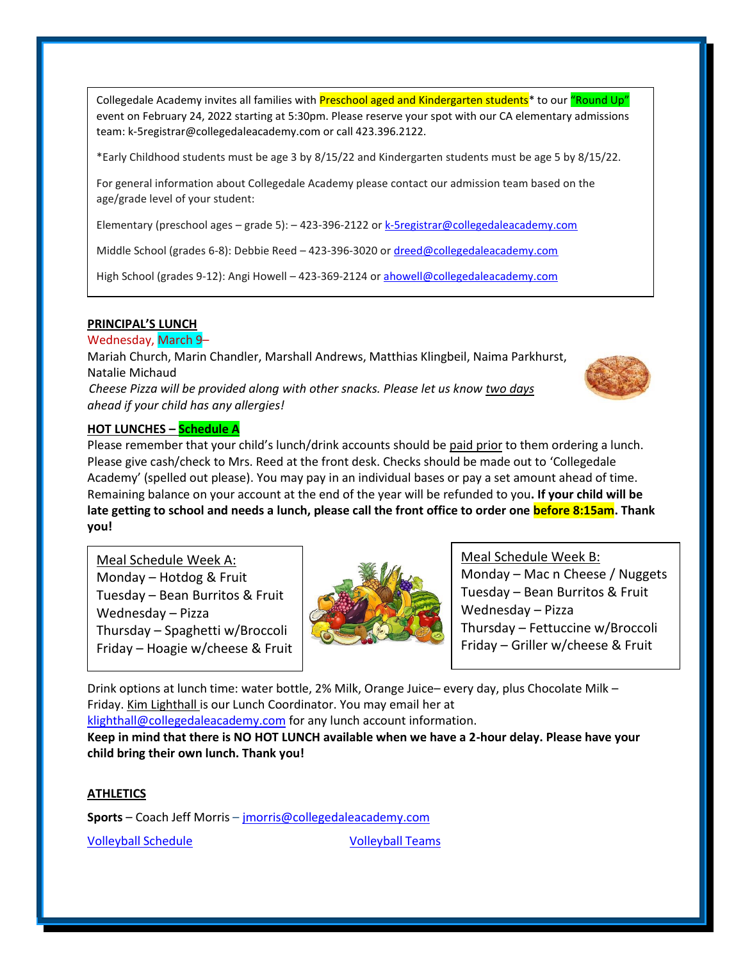Collegedale Academy invites all families with Preschool aged and Kindergarten students\* to our "Round Up" event on February 24, 2022 starting at 5:30pm. Please reserve your spot with our CA elementary admissions team: k-5registrar@collegedaleacademy.com or call 423.396.2122.

\*Early Childhood students must be age 3 by 8/15/22 and Kindergarten students must be age 5 by 8/15/22.

For general information about Collegedale Academy please contact our admission team based on the age/grade level of your student:

Elementary (preschool ages – grade 5): – 423-396-2122 o[r k-5registrar@collegedaleacademy.com](mailto:k-5registrar@collegedaleacademy.com)

Middle School (grades 6-8): Debbie Reed – 423-396-3020 o[r dreed@collegedaleacademy.com](mailto:dreed@collegedaleacademy.com)

High School (grades 9-12): Angi Howell – 423-369-2124 or [ahowell@collegedaleacademy.com](mailto:ahowell@collegedaleacademy.com)

#### **PRINCIPAL'S LUNCH**

#### Wednesday, March 9–

Mariah Church, Marin Chandler, Marshall Andrews, Matthias Klingbeil, Naima Parkhurst, Natalie Michaud

*Cheese Pizza will be provided along with other snacks. Please let us know two days ahead if your child has any allergies!*

#### **HOT LUNCHES – Schedule A**

Please remember that your child's lunch/drink accounts should be paid prior to them ordering a lunch. Please give cash/check to Mrs. Reed at the front desk. Checks should be made out to 'Collegedale Academy' (spelled out please). You may pay in an individual bases or pay a set amount ahead of time. Remaining balance on your account at the end of the year will be refunded to you**. If your child will be late getting to school and needs a lunch, please call the front office to order one before 8:15am. Thank you!** 

Meal Schedule Week A: Monday – Hotdog  $&$  Fruit Tuesday – Bean Burritos & Fruit Wednesday – Pizza Thursday – Spaghetti w/Broccoli Friday – Hoagie w/cheese & Fruit



Meal Schedule Week B: Monday – Mac n Cheese / Nuggets Tuesday – Bean Burritos & Fruit Wednesday – Pizza Thursday – Fettuccine w/Broccoli Friday – Griller w/cheese & Fruit

Drink options at lunch time: water bottle, 2% Milk, Orange Juice– every day, plus Chocolate Milk – Friday. Kim Lighthall is our Lunch Coordinator. You may email her at [klighthall@collegedaleacademy.com](mailto:klighthall@collegedaleacademy.com) for any lunch account information.

**Keep in mind that there is NO HOT LUNCH available when we have a 2-hour delay. Please have your child bring their own lunch. Thank you!**

#### **ATHLETICS**

**Sports** – Coach Jeff Morris – [jmorris@collegedaleacademy.com](mailto:jmorris@collegedaleacademy.com)

[Volleyball Schedule](https://www.collegedaleacademy.com/wp-content/uploads/2022/02/2022-Volleyball-schedule.pdf) [Volleyball Teams](https://www.collegedaleacademy.com/wp-content/uploads/2022/02/2021-2022-Volleyball-Teams-1.pdf)

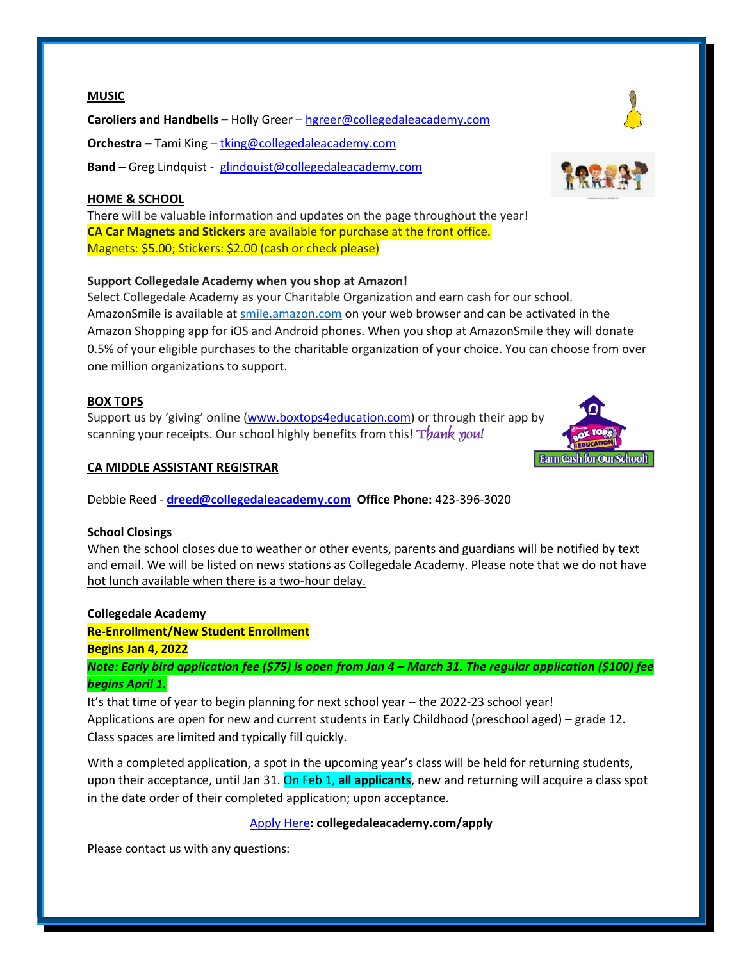#### **MUSIC**

**Caroliers and Handbells –** Holly Greer – [hgreer@collegedaleacademy.com](mailto:hgreer@collegedaleacademy.com)

**Orchestra –** Tami King – [tking@collegedaleacademy.com](mailto:tking@collegedaleacademy.com)

**Band –** Greg Lindquist - [glindquist@collegedaleacademy.com](mailto:glindquist@collegedaleacademy.com)

## **HOME & SCHOOL**

There will be valuable information and updates on the page throughout the year! **CA Car Magnets and Stickers** are available for purchase at the front office. Magnets: \$5.00; Stickers: \$2.00 (cash or check please)

## **Support Collegedale Academy when you shop at Amazon!**

Select Collegedale Academy as your Charitable Organization and earn cash for our school. AmazonSmile is available at [smile.amazon.com](https://smile.amazon.com/ref=smi_se_saas_lsmi_smi) on your web browser and can be activated in the Amazon Shopping app for iOS and Android phones. When you shop at AmazonSmile they will donate 0.5% of your eligible purchases to the charitable organization of your choice. You can choose from over one million organizations to support.

## **BOX TOPS**

Support us by 'giving' online ([www.boxtops4education.com\)](http://www.boxtops4education.com/) or through their app by scanning your receipts. Our school highly benefits from this! Thank you!

## **CA MIDDLE ASSISTANT REGISTRAR**

Debbie Reed - **[dreed@collegedaleacademy.com](mailto:dreed@collegedaleacademy.com) Office Phone:** 423-396-3020

#### **School Closings**

When the school closes due to weather or other events, parents and guardians will be notified by text and email. We will be listed on news stations as Collegedale Academy. Please note that we do not have hot lunch available when there is a two-hour delay.

#### **Collegedale Academy**

**Re-Enrollment/New Student Enrollment**

**Begins Jan 4, 2022**

*Note: Early bird application fee (\$75) is open from Jan 4 – March 31. The regular application (\$100) fee begins April 1.*

It's that time of year to begin planning for next school year – the 2022-23 school year! Applications are open for new and current students in Early Childhood (preschool aged) – grade 12. Class spaces are limited and typically fill quickly.

With a completed application, a spot in the upcoming year's class will be held for returning students, upon their acceptance, until Jan 31. On Feb 1, **all applicants**, new and returning will acquire a class spot in the date order of their completed application; upon acceptance.

## [Apply Here](http://collegedaleacademy.com/apply)**: collegedaleacademy.com/apply**

Please contact us with any questions:



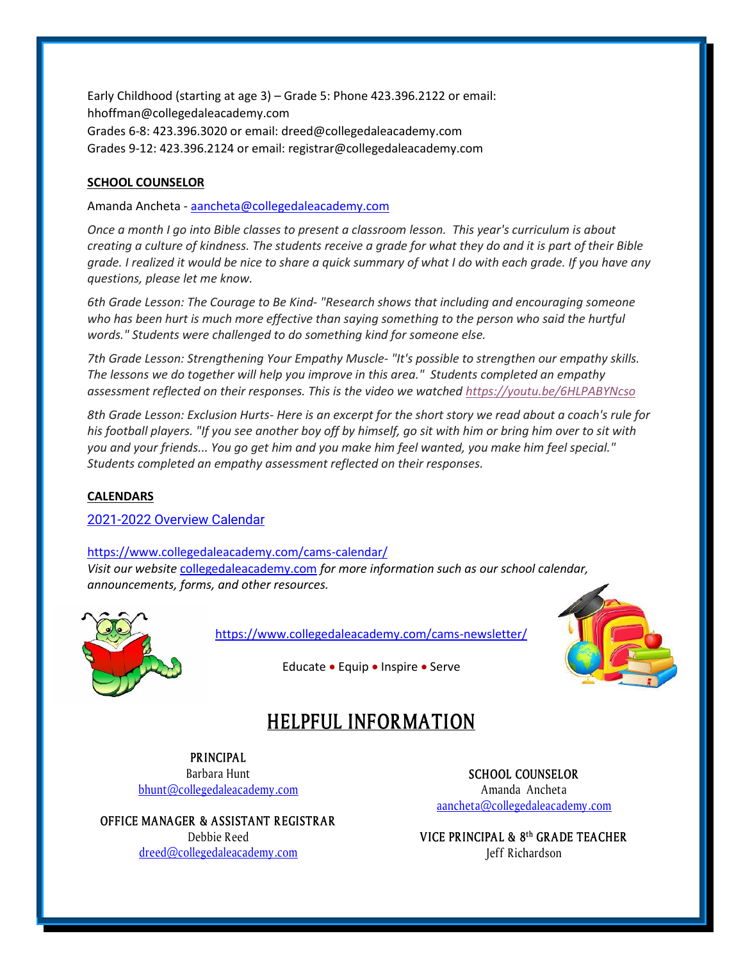Early Childhood (starting at age 3) – Grade 5: Phone 423.396.2122 or email: hhoffman@collegedaleacademy.com Grades 6-8: 423.396.3020 or email: dreed@collegedaleacademy.com Grades 9-12: 423.396.2124 or email: registrar@collegedaleacademy.com

## **SCHOOL COUNSELOR**

Amanda Ancheta - [aancheta@collegedaleacademy.com](mailto:aancheta@collegedaleacademy.com)

*Once a month I go into Bible classes to present a classroom lesson. This year's curriculum is about creating a culture of kindness. The students receive a grade for what they do and it is part of their Bible grade. I realized it would be nice to share a quick summary of what I do with each grade. If you have any questions, please let me know.*

*6th Grade Lesson: The Courage to Be Kind- "Research shows that including and encouraging someone who has been hurt is much more effective than saying something to the person who said the hurtful words." Students were challenged to do something kind for someone else.*

*7th Grade Lesson: Strengthening Your Empathy Muscle- "It's possible to strengthen our empathy skills. The lessons we do together will help you improve in this area." Students completed an empathy assessment reflected on their responses. This is the video we watched <https://youtu.be/6HLPABYNcso>*

*8th Grade Lesson: Exclusion Hurts- Here is an excerpt for the short story we read about a coach's rule for his football players. "If you see another boy off by himself, go sit with him or bring him over to sit with you and your friends... You go get him and you make him feel wanted, you make him feel special." Students completed an empathy assessment reflected on their responses.*

## **CALENDARS**

2021-2022 [Overview Calendar](https://www.collegedaleacademy.com/wp-content/uploads/2021/07/2021-22-Overview-Calendar-middle.pdf)

<https://www.collegedaleacademy.com/cams-calendar/>

*Visit our website* [collegedaleacademy.com](https://www.collegedaleacademy.com/) *for more information such as our school calendar, announcements, forms, and other resources.*



<https://www.collegedaleacademy.com/cams-newsletter/>



Educate • Equip • Inspire • Serve

# **HELPFUL INFORMATION**

**PRINCIPAL** Barbara Hunt [bhunt@collegedaleacademy.com](mailto:bhunt@collegedaleacademy.com)

**OFFICE MANAGER & ASSISTANT REGISTRAR** Debbie Reed [dreed@collegedaleacademy.com](mailto:dreed@collegedaleacademy.com)

**SCHOOL COUNSELOR** Amanda Ancheta [aancheta@collegedaleacademy.com](mailto:aancheta@collegedaleacademy.com)

**VICE PRINCIPAL & 8th GRADE TEACHER** Jeff Richardson